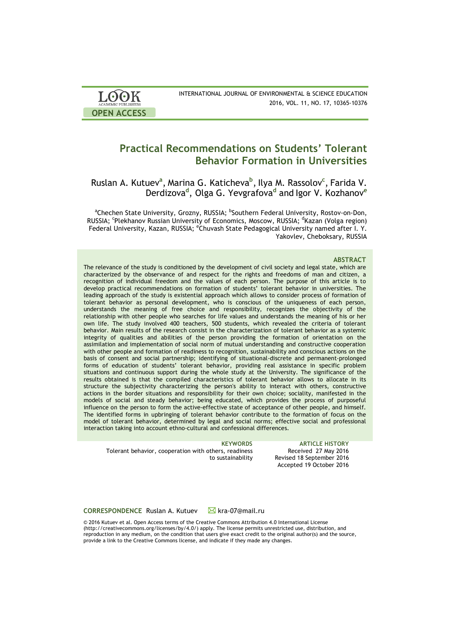| <b>LOOK</b>                | INTERNATIONAL JOURNAL OF ENVIRONMENTAL & SCIENCE EDUCATION |
|----------------------------|------------------------------------------------------------|
| <b>ACADEMIC PUBLISHERS</b> | 2016, VOL. 11, NO. 17, 10365-10376                         |
| <b>OPEN ACCESS</b>         |                                                            |

# **Practical Recommendations on Students' Tolerant Behavior Formation in Universities**

Ruslan A. Kutuev**<sup>a</sup>** , Marina G. Katicheva**<sup>b</sup>** , Ilya M. Rassolov**<sup>c</sup>** , Farida V. Derdizova**<sup>d</sup>** , Olga G. Yevgrafova**<sup>d</sup>** and Igor V. Kozhanov**<sup>e</sup>**

<sup>a</sup>Chechen State University, Grozny, RUSSIA; <sup>b</sup>Southern Federal University, Rostov-on-Don, RUSSIA; <sup>c</sup>Plekhanov Russian University of Economics, Moscow, RUSSIA; <sup>d</sup>Kazan (Volga region) Federal University, Kazan, RUSSIA; <sup>e</sup>Chuvash State Pedagogical University named after I. Y. Yakovlev, Cheboksary, RUSSIA

### **ABSTRACT**

The relevance of the study is conditioned by the development of civil society and legal state, which are characterized by the observance of and respect for the rights and freedoms of man and citizen, a recognition of individual freedom and the values of each person. The purpose of this article is to develop practical recommendations on formation of students' tolerant behavior in universities. The leading approach of the study is existential approach which allows to consider process of formation of tolerant behavior as personal development, who is conscious of the uniqueness of each person, understands the meaning of free choice and responsibility, recognizes the objectivity of the relationship with other people who searches for life values and understands the meaning of his or her own life. The study involved 400 teachers, 500 students, which revealed the criteria of tolerant behavior. Main results of the research consist in the characterization of tolerant behavior as a systemic integrity of qualities and abilities of the person providing the formation of orientation on the assimilation and implementation of social norm of mutual understanding and constructive cooperation with other people and formation of readiness to recognition, sustainability and conscious actions on the basis of consent and social partnership; identifying of situational-discrete and permanent-prolonged forms of education of students' tolerant behavior, providing real assistance in specific problem situations and continuous support during the whole study at the University. The significance of the results obtained is that the compiled characteristics of tolerant behavior allows to allocate in its structure the subjectivity characterizing the person's ability to interact with others, constructive actions in the border situations and responsibility for their own choice; sociality, manifested in the models of social and steady behavior; being educated, which provides the process of purposeful influence on the person to form the active-effective state of acceptance of other people, and himself. The identified forms in upbringing of tolerant behavior contribute to the formation of focus on the model of tolerant behavior, determined by legal and social norms; effective social and professional interaction taking into account ethno-cultural and confessional differences.

Tolerant behavior, cooperation with others, readiness to sustainability

**KEYWORDS ARTICLE HISTORY** Received 27 May 2016 Revised 18 September 2016 Accepted 19 October 2016

**CORRESPONDENCE** Ruslan A. Kutuev kra-07@mail.ru

© 2016 Kutuev et al. Open Access terms of the Creative Commons Attribution 4.0 International License (http://creativecommons.org/licenses/by/4.0/) apply. The license permits unrestricted use, distribution, and reproduction in any medium, on the condition that users give exact credit to the original author(s) and the source, provide a link to the Creative Commons license, and indicate if they made any changes.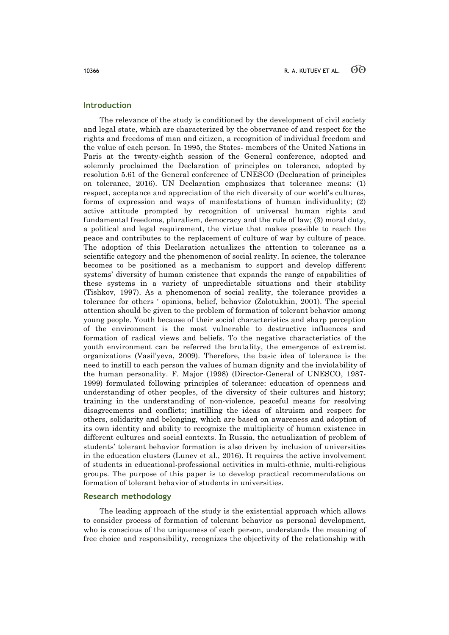## **Introduction**

The relevance of the study is conditioned by the development of civil society and legal state, which are characterized by the observance of and respect for the rights and freedoms of man and citizen, a recognition of individual freedom and the value of each person. In 1995, the States- members of the United Nations in Paris at the twenty-eighth session of the General conference, adopted and solemnly proclaimed the Declaration of principles on tolerance, adopted by resolution 5.61 of the General conference of UNESCO (Declaration of principles on tolerance, 2016). UN Declaration emphasizes that tolerance means: (1) respect, acceptance and appreciation of the rich diversity of our world's cultures, forms of expression and ways of manifestations of human individuality; (2) active attitude prompted by recognition of universal human rights and fundamental freedoms, pluralism, democracy and the rule of law; (3) moral duty, a political and legal requirement, the virtue that makes possible to reach the peace and contributes to the replacement of culture of war by culture of peace. The adoption of this Declaration actualizes the attention to tolerance as a scientific category and the phenomenon of social reality. In science, the tolerance becomes to be positioned as a mechanism to support and develop different systems' diversity of human existence that expands the range of capabilities of these systems in a variety of unpredictable situations and their stability (Tishkov, 1997). As a phenomenon of social reality, the tolerance provides a tolerance for others ' opinions, belief, behavior (Zolotukhin, 2001). The special attention should be given to the problem of formation of tolerant behavior among young people. Youth because of their social characteristics and sharp perception of the environment is the most vulnerable to destructive influences and formation of radical views and beliefs. To the negative characteristics of the youth environment can be referred the brutality, the emergence of extremist organizations (Vasil'yeva, 2009). Therefore, the basic idea of tolerance is the need to instill to each person the values of human dignity and the inviolability of the human personality. F. Major (1998) (Director-General of UNESCO, 1987- 1999) formulated following principles of tolerance: education of openness and understanding of other peoples, of the diversity of their cultures and history; training in the understanding of non-violence, peaceful means for resolving disagreements and conflicts; instilling the ideas of altruism and respect for others, solidarity and belonging, which are based on awareness and adoption of its own identity and ability to recognize the multiplicity of human existence in different cultures and social contexts. In Russia, the actualization of problem of students' tolerant behavior formation is also driven by inclusion of universities in the education clusters (Lunev et al., 2016). It requires the active involvement of students in educational-professional activities in multi-ethnic, multi-religious groups. The purpose of this paper is to develop practical recommendations on formation of tolerant behavior of students in universities.

### **Research methodology**

The leading approach of the study is the existential approach which allows to consider process of formation of tolerant behavior as personal development, who is conscious of the uniqueness of each person, understands the meaning of free choice and responsibility, recognizes the objectivity of the relationship with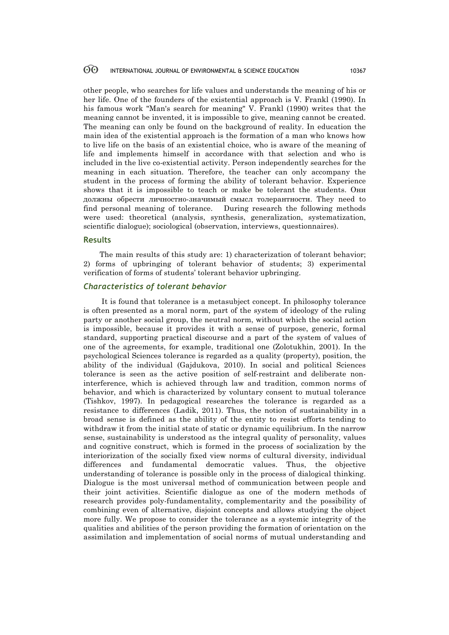other people, who searches for life values and understands the meaning of his or her life. One of the founders of the existential approach is V. Frankl (1990). In his famous work "Man's search for meaning" V. Frankl (1990) writes that the meaning cannot be invented, it is impossible to give, meaning cannot be created. The meaning can only be found on the background of reality. In education the main idea of the existential approach is the formation of a man who knows how to live life on the basis of an existential choice, who is aware of the meaning of life and implements himself in accordance with that selection and who is included in the live co-existential activity. Person independently searches for the meaning in each situation. Therefore, the teacher can only accompany the student in the process of forming the ability of tolerant behavior. Experience shows that it is impossible to teach or make be tolerant the students. Они должны обрести личностно-значимый смысл толерантности. They need to find personal meaning of tolerance. During research the following methods were used: theoretical (analysis, synthesis, generalization, systematization, scientific dialogue); sociological (observation, interviews, questionnaires).

# **Results**

The main results of this study are: 1) characterization of tolerant behavior; 2) forms of upbringing of tolerant behavior of students; 3) experimental verification of forms of students' tolerant behavior upbringing.

# *Characteristics of tolerant behavior*

It is found that tolerance is a metasubject concept. In philosophy tolerance is often presented as a moral norm, part of the system of ideology of the ruling party or another social group, the neutral norm, without which the social action is impossible, because it provides it with a sense of purpose, generic, formal standard, supporting practical discourse and a part of the system of values of one of the agreements, for example, traditional one (Zolotukhin, 2001). In the psychological Sciences tolerance is regarded as a quality (property), position, the ability of the individual (Gajdukova, 2010). In social and political Sciences tolerance is seen as the active position of self-restraint and deliberate noninterference, which is achieved through law and tradition, common norms of behavior, and which is characterized by voluntary consent to mutual tolerance (Tishkov, 1997). In pedagogical researches the tolerance is regarded as a resistance to differences (Ladik, 2011). Thus, the notion of sustainability in a broad sense is defined as the ability of the entity to resist efforts tending to withdraw it from the initial state of static or dynamic equilibrium. In the narrow sense, sustainability is understood as the integral quality of personality, values and cognitive construct, which is formed in the process of socialization by the interiorization of the socially fixed view norms of cultural diversity, individual differences and fundamental democratic values. Thus, the objective understanding of tolerance is possible only in the process of dialogical thinking. Dialogue is the most universal method of communication between people and their joint activities. Scientific dialogue as one of the modern methods of research provides poly-fundamentality, complementarity and the possibility of combining even of alternative, disjoint concepts and allows studying the object more fully. We propose to consider the tolerance as a systemic integrity of the qualities and abilities of the person providing the formation of orientation on the assimilation and implementation of social norms of mutual understanding and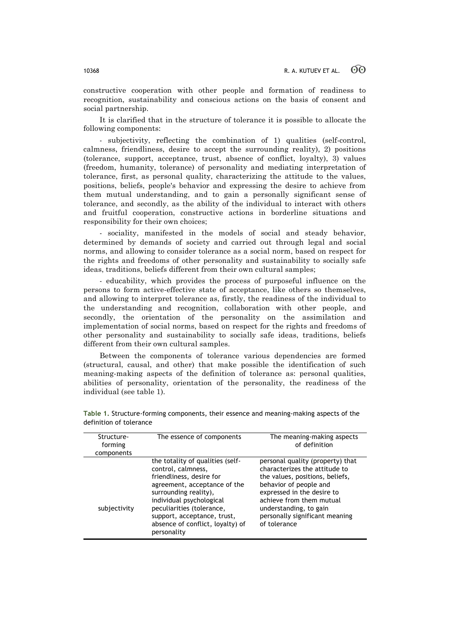constructive cooperation with other people and formation of readiness to recognition, sustainability and conscious actions on the basis of consent and social partnership.

It is clarified that in the structure of tolerance it is possible to allocate the following components:

- subjectivity, reflecting the combination of 1) qualities (self-control, calmness, friendliness, desire to accept the surrounding reality), 2) positions (tolerance, support, acceptance, trust, absence of conflict, loyalty), 3) values (freedom, humanity, tolerance) of personality and mediating interpretation of tolerance, first, as personal quality, characterizing the attitude to the values, positions, beliefs, people's behavior and expressing the desire to achieve from them mutual understanding, and to gain a personally significant sense of tolerance, and secondly, as the ability of the individual to interact with others and fruitful cooperation, constructive actions in borderline situations and responsibility for their own choices;

- sociality, manifested in the models of social and steady behavior, determined by demands of society and carried out through legal and social norms, and allowing to consider tolerance as a social norm, based on respect for the rights and freedoms of other personality and sustainability to socially safe ideas, traditions, beliefs different from their own cultural samples;

- educability, which provides the process of purposeful influence on the persons to form active-effective state of acceptance, like others so themselves, and allowing to interpret tolerance as, firstly, the readiness of the individual to the understanding and recognition, collaboration with other people, and secondly, the orientation of the personality on the assimilation and implementation of social norms, based on respect for the rights and freedoms of other personality and sustainability to socially safe ideas, traditions, beliefs different from their own cultural samples.

Between the components of tolerance various dependencies are formed (structural, causal, and other) that make possible the identification of such meaning-making aspects of the definition of tolerance as: personal qualities, abilities of personality, orientation of the personality, the readiness of the individual (see table 1).

| Structure-<br>forming<br>components | The essence of components                                                                                                                                                                                                                                                              | The meaning-making aspects<br>of definition                                                                                                                                                                                                                          |
|-------------------------------------|----------------------------------------------------------------------------------------------------------------------------------------------------------------------------------------------------------------------------------------------------------------------------------------|----------------------------------------------------------------------------------------------------------------------------------------------------------------------------------------------------------------------------------------------------------------------|
| subjectivity                        | the totality of qualities (self-<br>control, calmness,<br>friendliness, desire for<br>agreement, acceptance of the<br>surrounding reality),<br>individual psychological<br>peculiarities (tolerance,<br>support, acceptance, trust,<br>absence of conflict, loyalty) of<br>personality | personal quality (property) that<br>characterizes the attitude to<br>the values, positions, beliefs,<br>behavior of people and<br>expressed in the desire to<br>achieve from them mutual<br>understanding, to gain<br>personally significant meaning<br>of tolerance |

**Table 1.** Structure-forming components, their essence and meaning-making aspects of the definition of tolerance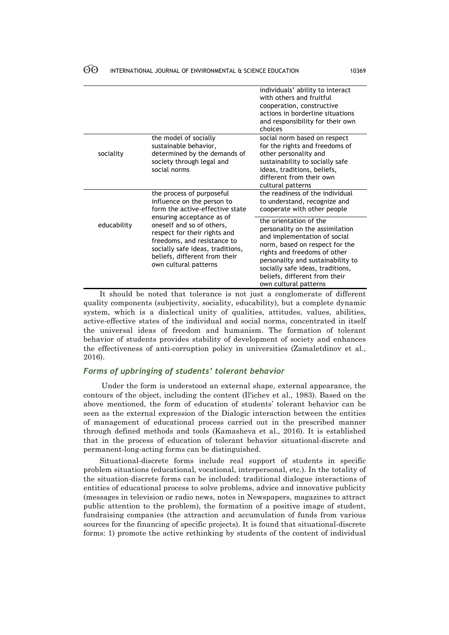|             |                                                                                                                                                                                                                                                                                                                   | individuals' ability to interact<br>with others and fruitful<br>cooperation, constructive<br>actions in borderline situations<br>and responsibility for their own<br>choices                                                                                                                   |
|-------------|-------------------------------------------------------------------------------------------------------------------------------------------------------------------------------------------------------------------------------------------------------------------------------------------------------------------|------------------------------------------------------------------------------------------------------------------------------------------------------------------------------------------------------------------------------------------------------------------------------------------------|
| sociality   | the model of socially<br>sustainable behavior,<br>determined by the demands of<br>society through legal and<br>social norms                                                                                                                                                                                       | social norm based on respect<br>for the rights and freedoms of<br>other personality and<br>sustainability to socially safe<br>ideas, traditions, beliefs,<br>different from their own<br>cultural patterns                                                                                     |
| educability | the process of purposeful<br>influence on the person to<br>form the active-effective state<br>ensuring acceptance as of<br>oneself and so of others,<br>respect for their rights and<br>freedoms, and resistance to<br>socially safe ideas, traditions,<br>beliefs, different from their<br>own cultural patterns | the readiness of the individual<br>to understand, recognize and<br>cooperate with other people                                                                                                                                                                                                 |
|             |                                                                                                                                                                                                                                                                                                                   | the orientation of the<br>personality on the assimilation<br>and implementation of social<br>norm, based on respect for the<br>rights and freedoms of other<br>personality and sustainability to<br>socially safe ideas, traditions,<br>beliefs, different from their<br>own cultural patterns |

It should be noted that tolerance is not just a conglomerate of different quality components (subjectivity, sociality, educability), but a complete dynamic system, which is a dialectical unity of qualities, attitudes, values, abilities, active-effective states of the individual and social norms, concentrated in itself the universal ideas of freedom and humanism. The formation of tolerant behavior of students provides stability of development of society and enhances the effectiveness of anti-corruption policy in universities (Zamaletdinov et al., 2016).

# *Forms of upbringing of students' tolerant behavior*

Under the form is understood an external shape, external appearance, the contours of the object, including the content (Il'ichev et al., 1983). Based on the above mentioned, the form of education of students' tolerant behavior can be seen as the external expression of the Dialogic interaction between the entities of management of educational process carried out in the prescribed manner through defined methods and tools (Kamasheva et al., 2016). It is established that in the process of education of tolerant behavior situational-discrete and permanent-long-acting forms can be distinguished.

Situational-discrete forms include real support of students in specific problem situations (educational, vocational, interpersonal, etc.). In the totality of the situation-discrete forms can be included: traditional dialogue interactions of entities of educational process to solve problems, advice and innovative publicity (messages in television or radio news, notes in Newspapers, magazines to attract public attention to the problem), the formation of a positive image of student, fundraising companies (the attraction and accumulation of funds from various sources for the financing of specific projects). It is found that situational-discrete forms: 1) promote the active rethinking by students of the content of individual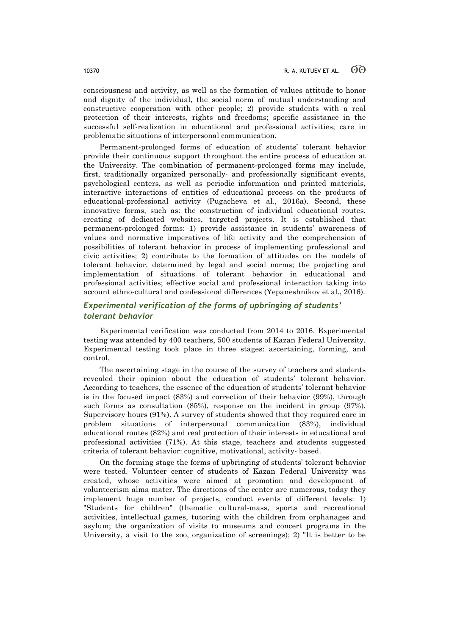consciousness and activity, as well as the formation of values attitude to honor and dignity of the individual, the social norm of mutual understanding and constructive cooperation with other people; 2) provide students with a real protection of their interests, rights and freedoms; specific assistance in the successful self-realization in educational and professional activities; care in problematic situations of interpersonal communication.

Permanent-prolonged forms of education of students' tolerant behavior provide their continuous support throughout the entire process of education at the University. The combination of permanent-prolonged forms may include, first, traditionally organized personally- and professionally significant events, psychological centers, as well as periodic information and printed materials, interactive interactions of entities of educational process on the products of educational-professional activity (Pugacheva et al., 2016a). Second, these innovative forms, such as: the construction of individual educational routes, creating of dedicated websites, targeted projects. It is established that permanent-prolonged forms: 1) provide assistance in students' awareness of values and normative imperatives of life activity and the comprehension of possibilities of tolerant behavior in process of implementing professional and civic activities; 2) contribute to the formation of attitudes on the models of tolerant behavior, determined by legal and social norms; the projecting and implementation of situations of tolerant behavior in educational and professional activities; effective social and professional interaction taking into account ethno-cultural and confessional differences (Yepaneshnikov et al., 2016).

# *Experimental verification of the forms of upbringing of students' tolerant behavior*

Experimental verification was conducted from 2014 to 2016. Experimental testing was attended by 400 teachers, 500 students of Kazan Federal University. Experimental testing took place in three stages: ascertaining, forming, and control.

The ascertaining stage in the course of the survey of teachers and students revealed their opinion about the education of students' tolerant behavior. According to teachers, the essence of the education of students' tolerant behavior is in the focused impact (83%) and correction of their behavior (99%), through such forms as consultation (85%), response on the incident in group (97%), Supervisory hours (91%). A survey of students showed that they required care in problem situations of interpersonal communication (83%), individual educational routes (82%) and real protection of their interests in educational and professional activities (71%). At this stage, teachers and students suggested criteria of tolerant behavior: cognitive, motivational, activity- based.

On the forming stage the forms of upbringing of students' tolerant behavior were tested. Volunteer center of students of Kazan Federal University was created, whose activities were aimed at promotion and development of volunteerism alma mater. The directions of the center are numerous, today they implement huge number of projects, conduct events of different levels: 1) "Students for children" (thematic cultural-mass, sports and recreational activities, intellectual games, tutoring with the children from orphanages and asylum; the organization of visits to museums and concert programs in the University, a visit to the zoo, organization of screenings); 2) "It is better to be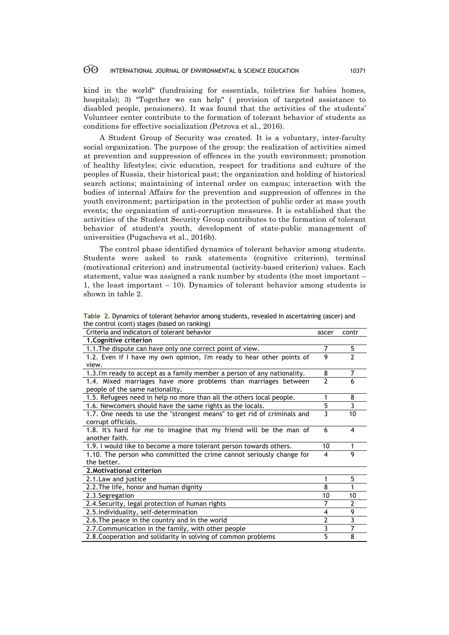kind in the world" (fundraising for essentials, toiletries for babies homes, hospitals); 3) "Together we can help" ( provision of targeted assistance to disabled people, pensioners). It was found that the activities of the students' Volunteer center contribute to the formation of tolerant behavior of students as conditions for effective socialization (Petrova et al., 2016).

A Student Group of Security was created. It is a voluntary, inter-faculty social organization. The purpose of the group: the realization of activities aimed at prevention and suppression of offences in the youth environment; promotion of healthy lifestyles; civic education, respect for traditions and culture of the peoples of Russia, their historical past; the organization and holding of historical search actions; maintaining of internal order on campus; interaction with the bodies of internal Affairs for the prevention and suppression of offences in the youth environment; participation in the protection of public order at mass youth events; the organization of anti-corruption measures. It is established that the activities of the Student Security Group contributes to the formation of tolerant behavior of student's youth, development of state-public management of universities (Pugacheva et al., 2016b).

The control phase identified dynamics of tolerant behavior among students. Students were asked to rank statements (cognitive criterion), terminal (motivational criterion) and instrumental (activity-based criterion) values. Each statement, value was assigned a rank number by students (the most important – 1, the least important – 10). Dynamics of tolerant behavior among students is shown in table 2.

| Table 2. Dynamics of tolerant behavior among students, revealed in ascertaining (ascer) and |  |
|---------------------------------------------------------------------------------------------|--|
| the control (cont) stages (based on ranking)                                                |  |

| Criteria and indicators of tolerant behavior                             | ascer | contr          |
|--------------------------------------------------------------------------|-------|----------------|
| 1. Cognitive criterion                                                   |       |                |
| 1.1. The dispute can have only one correct point of view.                |       | 5              |
| 1.2. Even if I have my own opinion, I'm ready to hear other points of    |       | $\overline{2}$ |
| view.                                                                    |       |                |
| 1.3. I'm ready to accept as a family member a person of any nationality. | 8     | 7              |
| 1.4. Mixed marriages have more problems than marriages between           |       | 6              |
| people of the same nationality.                                          |       |                |
| 1.5. Refugees need in help no more than all the others local people.     | 1     | 8              |
| 1.6. Newcomers should have the same rights as the locals.                | 5     | 3              |
| 1.7. One needs to use the "strongest means" to get rid of criminals and  | 3     | 10             |
| corrupt officials.                                                       |       |                |
| 1.8. It's hard for me to imagine that my friend will be the man of       | 6     | 4              |
| another faith.                                                           |       |                |
| 1.9. I would like to become a more tolerant person towards others.       |       |                |
| 1.10. The person who committed the crime cannot seriously change for     |       | 9              |
| the better.                                                              |       |                |
| 2. Motivational criterion                                                |       |                |
| 2.1. Law and justice                                                     | 1     | 5              |
| 2.2. The life, honor and human dignity                                   | 8     |                |
| 2.3. Segregation                                                         | 10    | 10             |
| 2.4. Security, legal protection of human rights                          | 7     | 2              |
| 2.5. Individuality, self-determination                                   |       | 9              |
| 2.6. The peace in the country and in the world                           |       | 3              |
| 2.7. Communication in the family, with other people                      |       | 7              |
| 2.8. Cooperation and solidarity in solving of common problems            |       | 8              |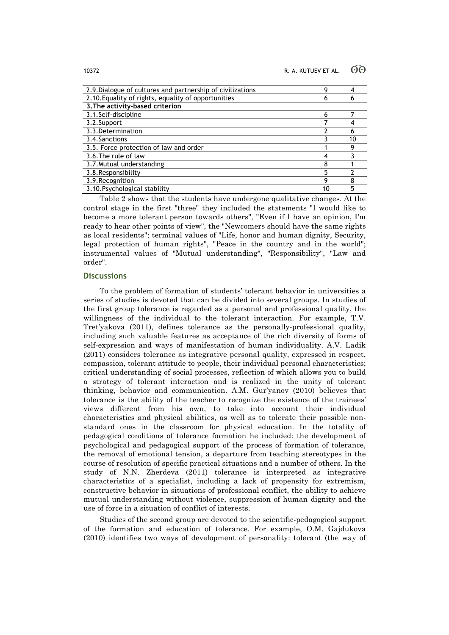| 2.9. Dialogue of cultures and partnership of civilizations | Q  |    |
|------------------------------------------------------------|----|----|
| 2.10. Equality of rights, equality of opportunities        | 6  |    |
| 3. The activity-based criterion                            |    |    |
| 3.1.Self-discipline                                        | 6  |    |
| 3.2.Support                                                |    |    |
| 3.3. Determination                                         |    |    |
| 3.4. Sanctions                                             |    | 10 |
| 3.5. Force protection of law and order                     |    |    |
| 3.6. The rule of law                                       |    |    |
| 3.7. Mutual understanding                                  | 8  |    |
| 3.8. Responsibility                                        | 5  |    |
| 3.9. Recognition                                           | q  |    |
| 3.10. Psychological stability                              | 10 |    |

Table 2 shows that the students have undergone qualitative changes. At the control stage in the first "three" they included the statements "I would like to become a more tolerant person towards others", "Even if I have an opinion, I'm ready to hear other points of view", the "Newcomers should have the same rights as local residents"; terminal values of "Life, honor and human dignity, Security, legal protection of human rights", "Peace in the country and in the world"; instrumental values of "Mutual understanding", "Responsibility", "Law and order".

# **Discussions**

To the problem of formation of students' tolerant behavior in universities a series of studies is devoted that can be divided into several groups. In studies of the first group tolerance is regarded as a personal and professional quality, the willingness of the individual to the tolerant interaction. For example, T.V. Tret'yakova (2011), defines tolerance as the personally-professional quality, including such valuable features as acceptance of the rich diversity of forms of self-expression and ways of manifestation of human individuality. A.V. Ladik (2011) considers tolerance as integrative personal quality, expressed in respect, compassion, tolerant attitude to people, their individual personal characteristics; critical understanding of social processes, reflection of which allows you to build a strategy of tolerant interaction and is realized in the unity of tolerant thinking, behavior and communication. A.M. Gur'yanov (2010) believes that tolerance is the ability of the teacher to recognize the existence of the trainees' views different from his own, to take into account their individual characteristics and physical abilities, as well as to tolerate their possible nonstandard ones in the classroom for physical education. In the totality of pedagogical conditions of tolerance formation he included: the development of psychological and pedagogical support of the process of formation of tolerance, the removal of emotional tension, a departure from teaching stereotypes in the course of resolution of specific practical situations and a number of others. In the study of N.N. Zherdeva (2011) tolerance is interpreted as integrative characteristics of a specialist, including a lack of propensity for extremism, constructive behavior in situations of professional conflict, the ability to achieve mutual understanding without violence, suppression of human dignity and the use of force in a situation of conflict of interests.

Studies of the second group are devoted to the scientific-pedagogical support of the formation and education of tolerance. For example, O.M. Gajdukova (2010) identifies two ways of development of personality: tolerant (the way of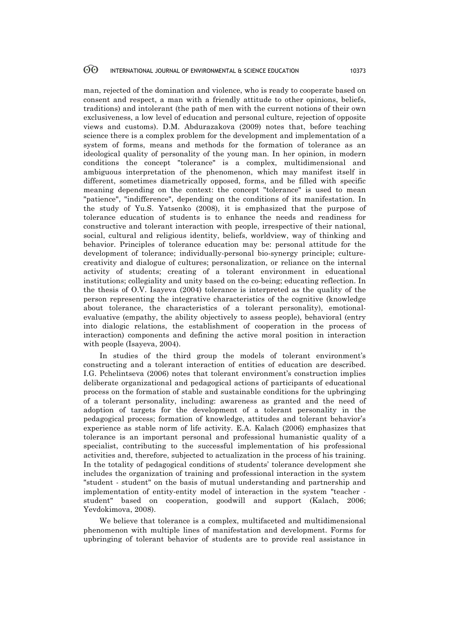man, rejected of the domination and violence, who is ready to cooperate based on consent and respect, a man with a friendly attitude to other opinions, beliefs, traditions) and intolerant (the path of men with the current notions of their own exclusiveness, a low level of education and personal culture, rejection of opposite views and customs). D.M. Abdurazakova (2009) notes that, before teaching science there is a complex problem for the development and implementation of a system of forms, means and methods for the formation of tolerance as an ideological quality of personality of the young man. In her opinion, in modern conditions the concept "tolerance" is a complex, multidimensional and ambiguous interpretation of the phenomenon, which may manifest itself in different, sometimes diametrically opposed, forms, and be filled with specific meaning depending on the context: the concept "tolerance" is used to mean "patience", "indifference", depending on the conditions of its manifestation. In the study of Yu.S. Yatsenko (2008), it is emphasized that the purpose of tolerance education of students is to enhance the needs and readiness for constructive and tolerant interaction with people, irrespective of their national, social, cultural and religious identity, beliefs, worldview, way of thinking and behavior. Principles of tolerance education may be: personal attitude for the development of tolerance; individually-personal bio-synergy principle; culturecreativity and dialogue of cultures; personalization, or reliance on the internal activity of students; creating of a tolerant environment in educational institutions; collegiality and unity based on the co-being; educating reflection. In the thesis of O.V. Isayeva (2004) tolerance is interpreted as the quality of the person representing the integrative characteristics of the cognitive (knowledge about tolerance, the characteristics of a tolerant personality), emotionalevaluative (empathy, the ability objectively to assess people), behavioral (entry into dialogic relations, the establishment of cooperation in the process of interaction) components and defining the active moral position in interaction with people (Isayeva, 2004).

In studies of the third group the models of tolerant environment's constructing and a tolerant interaction of entities of education are described. I.G. Pchelintseva (2006) notes that tolerant environment's construction implies deliberate organizational and pedagogical actions of participants of educational process on the formation of stable and sustainable conditions for the upbringing of a tolerant personality, including: awareness as granted and the need of adoption of targets for the development of a tolerant personality in the pedagogical process; formation of knowledge, attitudes and tolerant behavior's experience as stable norm of life activity. E.A. Kalach (2006) emphasizes that tolerance is an important personal and professional humanistic quality of a specialist, contributing to the successful implementation of his professional activities and, therefore, subjected to actualization in the process of his training. In the totality of pedagogical conditions of students' tolerance development she includes the organization of training and professional interaction in the system "student - student" on the basis of mutual understanding and partnership and implementation of entity-entity model of interaction in the system "teacher student" based on cooperation, goodwill and support (Kalach, 2006; Yevdokimova, 2008).

We believe that tolerance is a complex, multifaceted and multidimensional phenomenon with multiple lines of manifestation and development. Forms for upbringing of tolerant behavior of students are to provide real assistance in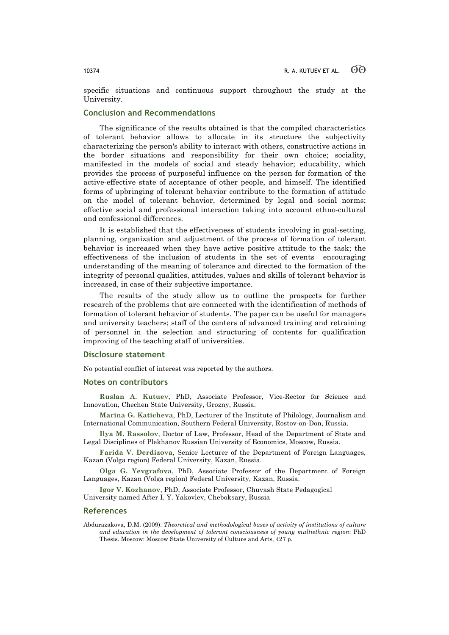specific situations and continuous support throughout the study at the University.

# **Conclusion and Recommendations**

The significance of the results obtained is that the compiled characteristics of tolerant behavior allows to allocate in its structure the subjectivity characterizing the person's ability to interact with others, constructive actions in the border situations and responsibility for their own choice; sociality, manifested in the models of social and steady behavior; educability, which provides the process of purposeful influence on the person for formation of the active-effective state of acceptance of other people, and himself. The identified forms of upbringing of tolerant behavior contribute to the formation of attitude on the model of tolerant behavior, determined by legal and social norms; effective social and professional interaction taking into account ethno-cultural and confessional differences.

It is established that the effectiveness of students involving in goal-setting, planning, organization and adjustment of the process of formation of tolerant behavior is increased when they have active positive attitude to the task; the effectiveness of the inclusion of students in the set of events encouraging understanding of the meaning of tolerance and directed to the formation of the integrity of personal qualities, attitudes, values and skills of tolerant behavior is increased, in case of their subjective importance.

The results of the study allow us to outline the prospects for further research of the problems that are connected with the identification of methods of formation of tolerant behavior of students. The paper can be useful for managers and university teachers; staff of the centers of advanced training and retraining of personnel in the selection and structuring of contents for qualification improving of the teaching staff of universities.

### **Disclosure statement**

No potential conflict of interest was reported by the authors.

### **Notes on contributors**

**Ruslan A. Kutuev**, PhD, Associate Professor, Vice-Rector for Science and Innovation, Chechen State University, Grozny, Russia.

**Marina G. Katicheva**, PhD, Lecturer of the Institute of Philology, Journalism and International Communication, Southern Federal University, Rostov-on-Don, Russia.

**Ilya M. Rassolov**, Doctor of Law, Professor, Head of the Department of State and Legal Disciplines of Plekhanov Russian University of Economics, Moscow*,* Russia.

**Farida V. Derdizova**, Senior Lecturer of the Department of Foreign Languages, Kazan (Volga region) Federal University, Kazan, Russia.

**Olga G. Yevgrafova**, PhD, Associate Professor of the Department of Foreign Languages, Kazan (Volga region) Federal University, Kazan, Russia.

**Igor V. Kozhanov**, PhD, Associate Professor, Chuvash State Pedagogical University named After I. Y. Yakovlev, Cheboksary, Russia

### **References**

Abdurazakova, D.M. (2009). *Theoretical and methodological bases of activity of institutions of culture and education in the development of tolerant consciousness of young multiethnic region*: PhD Thesis. Moscow: Moscow State University of Culture and Arts, 427 p.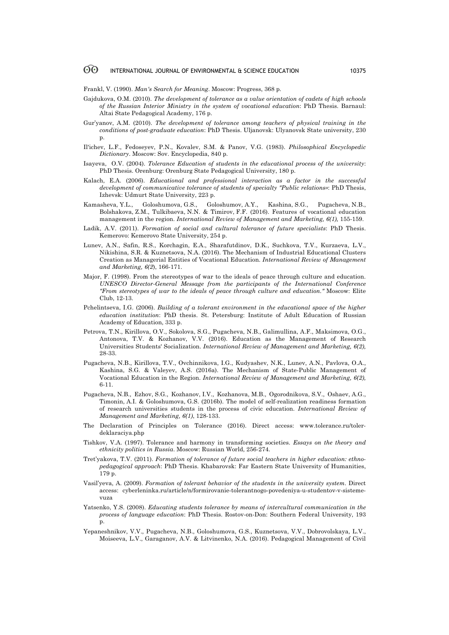Frankl, V. (1990). *Man's Search for Meaning*. Moscow: Progress, 368 p.

- Gajdukova, O.M. (2010). *The development of tolerance as a value orientation of cadets of high schools of the Russian Interior Ministry in the system of vocational education*: PhD Thesis. Barnaul: Altai State Pedagogical Academy, 176 p.
- Gur'yanov, A.M. (2010). *The development of tolerance among teachers of physical training in the conditions of post-graduate education*: PhD Thesis. Uljanovsk: Ulyanovsk State university, 230 p.
- Il'ichev, L.F., Fedoseyev, P.N., Kovalev, S.M. & Panov, V.G. (1983). *Philosophical Encyclopedic Dictionary*. Moscow: Sov. Encyclopedia, 840 p.
- Isayeva, O.V. (2004). *Tolerance Education of students in the educational process of the university*: PhD Thesis. Orenburg: Orenburg State Pedagogical University, 180 p.
- Kalach, E.A. (2006). *Educational and professional interaction as a factor in the successful development of communicative tolerance of students of specialty "Public relations»*: PhD Thesis, Izhevsk: Udmurt State University, 223 p.
- Kamasheva, Y.L., Goloshumova, G.S., Goloshumov, A.Y., Kashina, S.G., Pugacheva, N.B., Bolshakova, Z.M., Tulkibaeva, N.N. & Timirov, F.F. (2016). Features of vocational education management in the region. *International Review of Management and Marketing, 6(1),* 155-159.
- Ladik, A.V. (2011). *Formation of social and cultural tolerance of future specialists*: PhD Thesis. Kemerovo: Kemerovo State University, 254 p.
- Lunev, A.N., Safin, R.S., Korchagin, E.A., Sharafutdinov, D.K., Suchkova, T.V., Kurzaeva, L.V., Nikishina, S.R. & Kuznetsova, N.A. (2016). The Mechanism of Industrial Educational Clusters Creation as Managerial Entities of Vocational Education. *International Review of Management and Marketing, 6(2*), 166-171.
- Major, F. (1998). From the stereotypes of war to the ideals of peace through culture and education. *UNESCO Director-General Message from the participants of the International Conference "From stereotypes of war to the ideals of peace through culture and education."* Moscow: Elite Club, 12-13.
- Pchelintseva, I.G. (2006). *Building of a tolerant environment in the educational space of the higher education institution*: PhD thesis. St. Petersburg: Institute of Adult Education of Russian Academy of Education, 333 p.
- Petrova, T.N., Kirillova, O.V., Sokolova, S.G., Pugacheva, N.B., Galimullina, A.F., Maksimova, O.G., Antonova, T.V. & Kozhanov, V.V. (2016). Education as the Management of Research Universities Students' Socialization. *International Review of Management and Marketing, 6(2),* 28-33.
- Pugacheva, N.B., Kirillova, T.V., Ovchinnikova, I.G., Kudyashev, N.K., Lunev, A.N., Pavlova, O.A., Kashina, S.G. & Valeyev, A.S. (2016a). The Mechanism of State-Public Management of Vocational Education in the Region. *International Review of Management and Marketing, 6(2),* 6-11.
- Pugacheva, N.B., Ezhov, S.G., Kozhanov, I.V., Kozhanova, M.B., Ogorodnikova, S.V., Oshaev, A.G., Timonin, A.I. & Goloshumova, G.S. (2016b). The model of self-realization readiness formation of research universities students in the process of civic education. *International Review of Management and Marketing, 6(1)*, 128-133.
- The Declaration of Principles on Tolerance (2016). Direct access: www.tolerance.ru/tolerdeklaraciya.php
- Tishkov, V.A. (1997). Tolerance and harmony in transforming societies. *Essays on the theory and ethnicity politics in Russia*. Moscow: Russian World, 256-274.
- Tret'yakova, T.V. (2011). *Formation of tolerance of future social teachers in higher education: ethnopedagogical approach*: PhD Thesis. Khabarovsk: Far Eastern State University of Humanities, 179 p.
- Vasil'yeva, A. (2009). *Formation of tolerant behavior of the students in the university system*. Direct access: cyberleninka.ru/article/n/formirovanie-tolerantnogo-povedeniya-u-studentov-v-sistemevuza
- Yatsenko, Y.S. (2008). *Educating students tolerance by means of intercultural communication in the process of language education*: PhD Thesis. Rostov-on-Don: Southern Federal University, 193 p.
- Yepaneshnikov, V.V., Pugacheva, N.B., Goloshumova, G.S., Kuznetsova, V.V., Dobrovolskaya, L.V., Moiseeva, L.V., Garaganov, A.V. & Litvinenko, N.A. (2016). Pedagogical Management of Civil